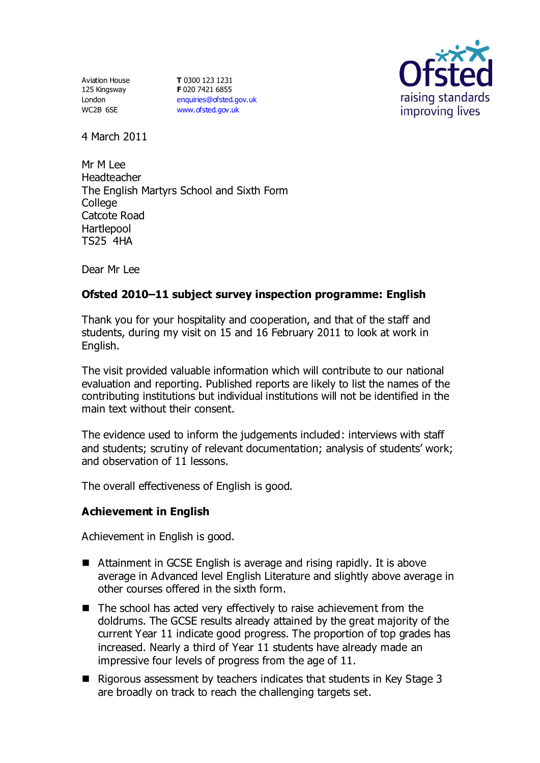Aviation House 125 Kingsway London WC2B 6SE

**T** 0300 123 1231 **F** 020 7421 6855 [enquiries@ofsted.gov.uk](mailto:enquiries@ofsted.gov.uk) [www.ofsted.gov.uk](http://www.ofsted.gov.uk/)



4 March 2011

Mr M Lee Headteacher The English Martyrs School and Sixth Form College Catcote Road **Hartlepool** TS25 4HA

Dear Mr Lee

# **Ofsted 2010–11 subject survey inspection programme: English**

Thank you for your hospitality and cooperation, and that of the staff and students, during my visit on 15 and 16 February 2011 to look at work in English.

The visit provided valuable information which will contribute to our national evaluation and reporting. Published reports are likely to list the names of the contributing institutions but individual institutions will not be identified in the main text without their consent.

The evidence used to inform the judgements included: interviews with staff and students; scrutiny of relevant documentation; analysis of students' work; and observation of 11 lessons.

The overall effectiveness of English is good.

### **Achievement in English**

Achievement in English is good.

- Attainment in GCSE English is average and rising rapidly. It is above average in Advanced level English Literature and slightly above average in other courses offered in the sixth form.
- $\blacksquare$  The school has acted very effectively to raise achievement from the doldrums. The GCSE results already attained by the great majority of the current Year 11 indicate good progress. The proportion of top grades has increased. Nearly a third of Year 11 students have already made an impressive four levels of progress from the age of 11.
- $\blacksquare$  Rigorous assessment by teachers indicates that students in Key Stage 3 are broadly on track to reach the challenging targets set.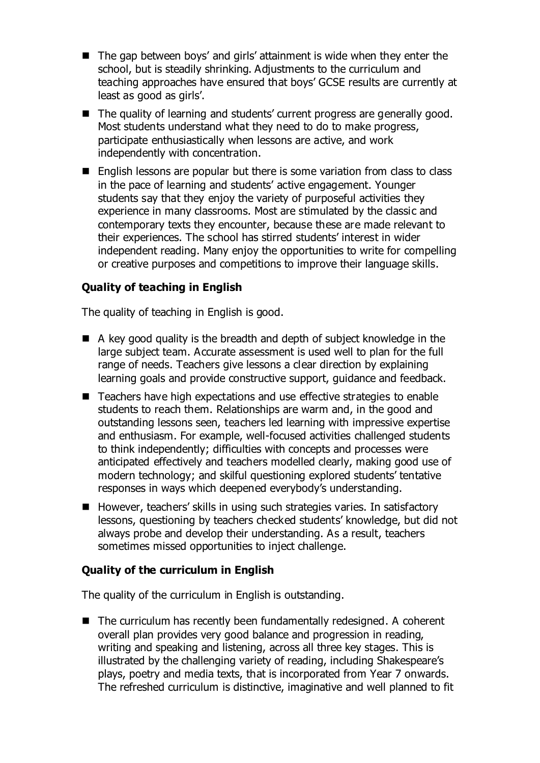- The gap between boys' and girls' attainment is wide when they enter the school, but is steadily shrinking. Adjustments to the curriculum and teaching approaches have ensured that boys' GCSE results are currently at least as good as girls'.
- The quality of learning and students' current progress are generally good. Most students understand what they need to do to make progress, participate enthusiastically when lessons are active, and work independently with concentration.
- English lessons are popular but there is some variation from class to class in the pace of learning and students' active engagement. Younger students say that they enjoy the variety of purposeful activities they experience in many classrooms. Most are stimulated by the classic and contemporary texts they encounter, because these are made relevant to their experiences. The school has stirred students' interest in wider independent reading. Many enjoy the opportunities to write for compelling or creative purposes and competitions to improve their language skills.

# **Quality of teaching in English**

The quality of teaching in English is good.

- $\blacksquare$  A key good quality is the breadth and depth of subject knowledge in the large subject team. Accurate assessment is used well to plan for the full range of needs. Teachers give lessons a clear direction by explaining learning goals and provide constructive support, guidance and feedback.
- Teachers have high expectations and use effective strategies to enable students to reach them. Relationships are warm and, in the good and outstanding lessons seen, teachers led learning with impressive expertise and enthusiasm. For example, well-focused activities challenged students to think independently; difficulties with concepts and processes were anticipated effectively and teachers modelled clearly, making good use of modern technology; and skilful questioning explored students' tentative responses in ways which deepened everybody's understanding.
- However, teachers' skills in using such strategies varies. In satisfactory lessons, questioning by teachers checked students' knowledge, but did not always probe and develop their understanding. As a result, teachers sometimes missed opportunities to inject challenge.

### **Quality of the curriculum in English**

The quality of the curriculum in English is outstanding.

 $\blacksquare$  The curriculum has recently been fundamentally redesigned. A coherent overall plan provides very good balance and progression in reading, writing and speaking and listening, across all three key stages. This is illustrated by the challenging variety of reading, including Shakespeare's plays, poetry and media texts, that is incorporated from Year 7 onwards. The refreshed curriculum is distinctive, imaginative and well planned to fit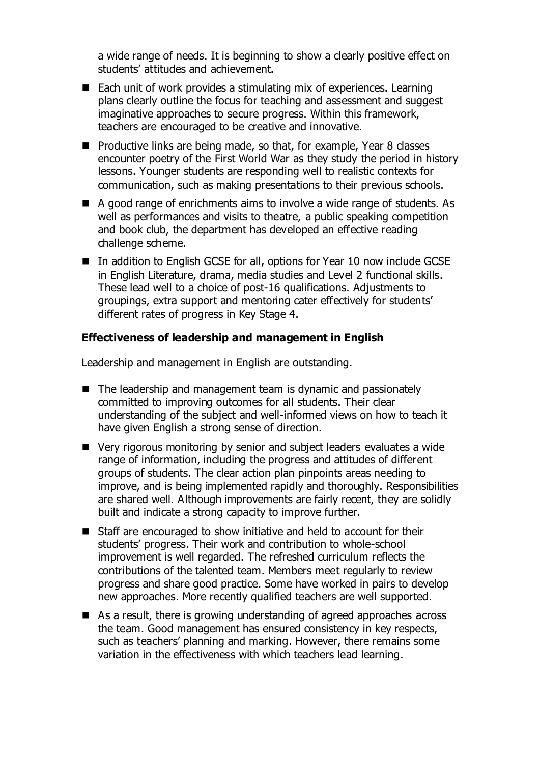a wide range of needs. It is beginning to show a clearly positive effect on students' attitudes and achievement.

- Each unit of work provides a stimulating mix of experiences. Learning plans clearly outline the focus for teaching and assessment and suggest imaginative approaches to secure progress. Within this framework, teachers are encouraged to be creative and innovative.
- $\blacksquare$  Productive links are being made, so that, for example, Year 8 classes encounter poetry of the First World War as they study the period in history lessons. Younger students are responding well to realistic contexts for communication, such as making presentations to their previous schools.
- A good range of enrichments aims to involve a wide range of students. As well as performances and visits to theatre, a public speaking competition and book club, the department has developed an effective reading challenge scheme.
- In addition to English GCSE for all, options for Year 10 now include GCSE in English Literature, drama, media studies and Level 2 functional skills. These lead well to a choice of post-16 qualifications. Adjustments to groupings, extra support and mentoring cater effectively for students' different rates of progress in Key Stage 4.

#### **Effectiveness of leadership and management in English**

Leadership and management in English are outstanding.

- The leadership and management team is dynamic and passionately committed to improving outcomes for all students. Their clear understanding of the subject and well-informed views on how to teach it have given English a strong sense of direction.
- Very rigorous monitoring by senior and subject leaders evaluates a wide range of information, including the progress and attitudes of different groups of students. The clear action plan pinpoints areas needing to improve, and is being implemented rapidly and thoroughly. Responsibilities are shared well. Although improvements are fairly recent, they are solidly built and indicate a strong capacity to improve further.
- Staff are encouraged to show initiative and held to account for their students' progress. Their work and contribution to whole-school improvement is well regarded. The refreshed curriculum reflects the contributions of the talented team. Members meet regularly to review progress and share good practice. Some have worked in pairs to develop new approaches. More recently qualified teachers are well supported.
- As a result, there is growing understanding of agreed approaches across the team. Good management has ensured consistency in key respects, such as teachers' planning and marking. However, there remains some variation in the effectiveness with which teachers lead learning.